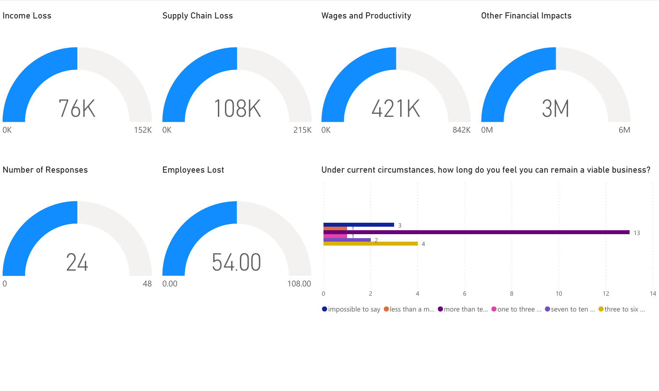

 $\bullet$  impossible to say  $\bullet$  less than a m...  $\bullet$  more than te...  $\bullet$  one to three ...  $\bullet$  seven to ten ...  $\bullet$  three to six ...